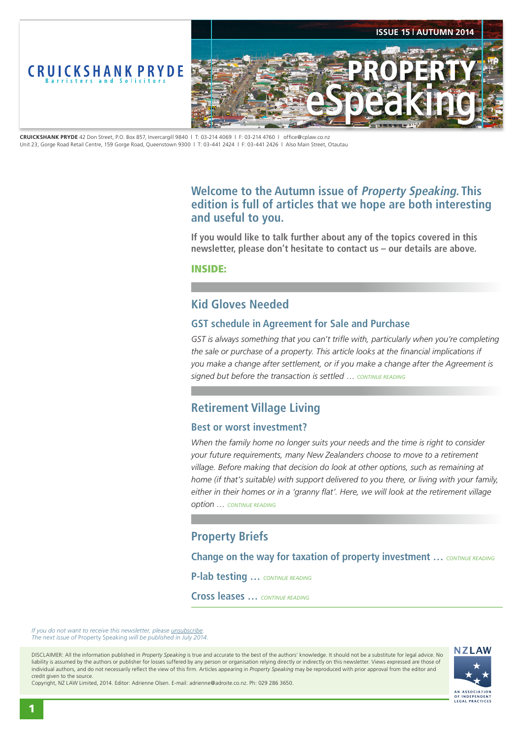<span id="page-0-0"></span>

**CRUICKSHANK PRYDE** 42 Don Street, P.O. Box 857, Invercargill 9840 | T: 03-214 4069 | F: 03-214 4760 | office@cplaw.co.nz Unit 23, Gorge Road Retail Centre, 159 Gorge Road, Queenstown 9300 | T: 03-441 2424 | F: 03-441 2426 | Also Main Street, Otautau

# **Welcome to the Autumn issue of Property Speaking. This edition is full of articles that we hope are both interesting and useful to you.**

**If you would like to talk further about any of the topics covered in this newsletter, please don't hesitate to contact us – our details are above.**

INSIDE:

# **Kid Gloves Needed**

## **GST schedule in Agreement for Sale and Purchase**

GST is always something that you can't trifle with, particularly when you're completing *the sale or purchase of a property. This article looks at the financial implications if you make a change after settlement, or if you make a change after the Agreement is signed but before the transaction is settled* … *[CONTINUE READING](#page-1-0)*

# **Retirement Village Living**

## **Best or worst investment?**

*When the family home no longer suits your needs and the time is right to consider your future requirements, many New Zealanders choose to move to a retirement village. Before making that decision do look at other options, such as remaining at home (if that's suitable) with support delivered to you there, or living with your family, either in their homes or in a 'granny flat'. Here, we will look at the retirement village option … [CONTINUE READING](#page-2-0)*

# **Property Briefs**

**Change on the way for taxation of property investment ...** *[CONTINUE READING](#page-3-0)* 

**P-lab testing …** *[CONTINUE READING](#page-3-0)*

**Cross leases …** *[CONTINUE READING](#page-3-0)*

*If you do not want to receive this newsletter, please <i>unsubscribe The next issue of* Property Speaking *will be published in July 2014.* 

DISCLAIMER: All the information published in *Property Speaking* is true and accurate to the best of the authors' knowledge. It should not be a substitute for legal advice. No liability is assumed by the authors or publisher for losses suffered by any person or organisation relying directly or indirectly on this newsletter. Views expressed are those of individual authors, and do not necessarily reflect the view of this firm. Articles appearing in *Property Speaking* may be reproduced with prior approval from the editor and credit given to the source.



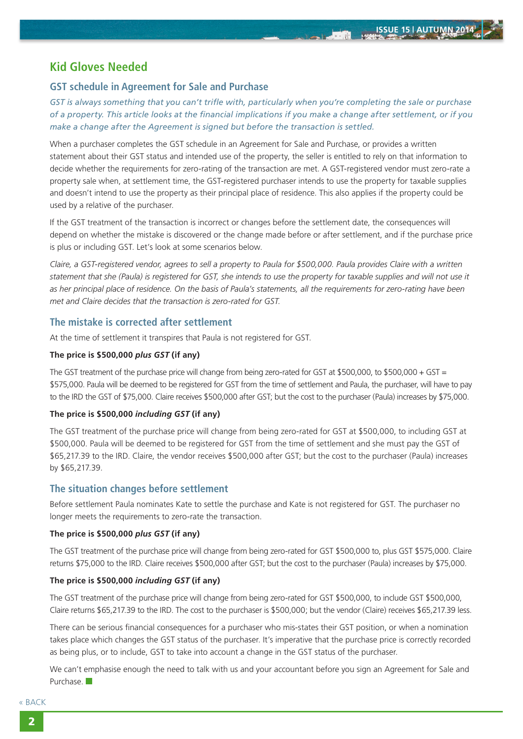**John** 

# <span id="page-1-0"></span>**Kid Gloves Needed**

## **GST schedule in Agreement for Sale and Purchase**

*GST is always something that you can't trifle with, particularly when you're completing the sale or purchase of a property. This article looks at the financial implications if you make a change after settlement, or if you make a change after the Agreement is signed but before the transaction is settled.*

When a purchaser completes the GST schedule in an Agreement for Sale and Purchase, or provides a written statement about their GST status and intended use of the property, the seller is entitled to rely on that information to decide whether the requirements for zero-rating of the transaction are met. A GST-registered vendor must zero-rate a property sale when, at settlement time, the GST-registered purchaser intends to use the property for taxable supplies and doesn't intend to use the property as their principal place of residence. This also applies if the property could be used by a relative of the purchaser.

If the GST treatment of the transaction is incorrect or changes before the settlement date, the consequences will depend on whether the mistake is discovered or the change made before or after settlement, and if the purchase price is plus or including GST. Let's look at some scenarios below.

*Claire, a GST-registered vendor, agrees to sell a property to Paula for \$500,000. Paula provides Claire with a written statement that she (Paula) is registered for GST, she intends to use the property for taxable supplies and will not use it as her principal place of residence. On the basis of Paula's statements, all the requirements for zero-rating have been met and Claire decides that the transaction is zero-rated for GST.*

## **The mistake is corrected after settlement**

At the time of settlement it transpires that Paula is not registered for GST.

### **The price is \$500,000** *plus GST* **(if any)**

The GST treatment of the purchase price will change from being zero-rated for GST at \$500,000, to \$500,000 + GST = \$575,000. Paula will be deemed to be registered for GST from the time of settlement and Paula, the purchaser, will have to pay to the IRD the GST of \$75,000. Claire receives \$500,000 after GST; but the cost to the purchaser (Paula) increases by \$75,000.

#### **The price is \$500,000** *including GST* **(if any)**

The GST treatment of the purchase price will change from being zero-rated for GST at \$500,000, to including GST at \$500,000. Paula will be deemed to be registered for GST from the time of settlement and she must pay the GST of \$65,217.39 to the IRD. Claire, the vendor receives \$500,000 after GST; but the cost to the purchaser (Paula) increases by \$65,217.39.

## **The situation changes before settlement**

Before settlement Paula nominates Kate to settle the purchase and Kate is not registered for GST. The purchaser no longer meets the requirements to zero-rate the transaction.

#### **The price is \$500,000** *plus GST* **(if any)**

The GST treatment of the purchase price will change from being zero-rated for GST \$500,000 to, plus GST \$575,000. Claire returns \$75,000 to the IRD. Claire receives \$500,000 after GST; but the cost to the purchaser (Paula) increases by \$75,000.

#### **The price is \$500,000** *including GST* **(if any)**

The GST treatment of the purchase price will change from being zero-rated for GST \$500,000, to include GST \$500,000, Claire returns \$65,217.39 to the IRD. The cost to the purchaser is \$500,000; but the vendor (Claire) receives \$65,217.39 less.

There can be serious financial consequences for a purchaser who mis-states their GST position, or when a nomination takes place which changes the GST status of the purchaser. It's imperative that the purchase price is correctly recorded as being plus, or to include, GST to take into account a change in the GST status of the purchaser.

We can't emphasise enough the need to talk with us and your accountant before you sign an Agreement for Sale and Purchase.

[« BACK](#page-0-0)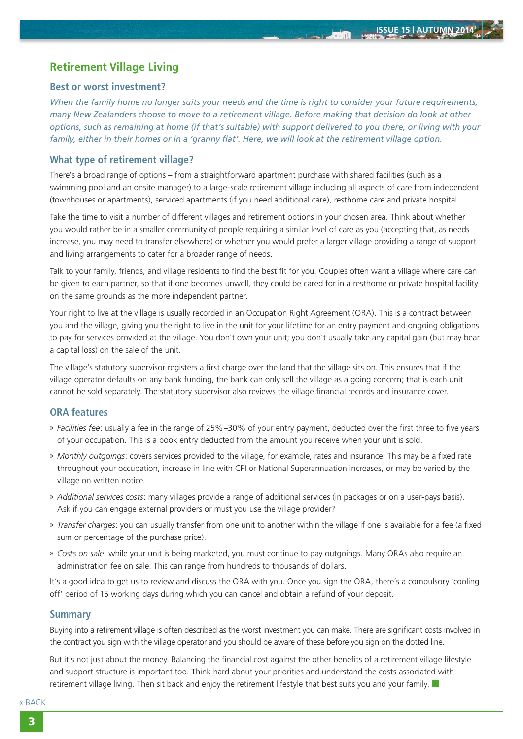**Marine Street** 

# <span id="page-2-0"></span>**Retirement Village Living**

### **Best or worst investment?**

*When the family home no longer suits your needs and the time is right to consider your future requirements, many New Zealanders choose to move to a retirement village. Before making that decision do look at other options, such as remaining at home (if that's suitable) with support delivered to you there, or living with your family, either in their homes or in a 'granny flat'. Here, we will look at the retirement village option.*

## **What type of retirement village?**

There's a broad range of options – from a straightforward apartment purchase with shared facilities (such as a swimming pool and an onsite manager) to a large-scale retirement village including all aspects of care from independent (townhouses or apartments), serviced apartments (if you need additional care), resthome care and private hospital.

Take the time to visit a number of different villages and retirement options in your chosen area. Think about whether you would rather be in a smaller community of people requiring a similar level of care as you (accepting that, as needs increase, you may need to transfer elsewhere) or whether you would prefer a larger village providing a range of support and living arrangements to cater for a broader range of needs.

Talk to your family, friends, and village residents to find the best fit for you. Couples often want a village where care can be given to each partner, so that if one becomes unwell, they could be cared for in a resthome or private hospital facility on the same grounds as the more independent partner.

Your right to live at the village is usually recorded in an Occupation Right Agreement (ORA). This is a contract between you and the village, giving you the right to live in the unit for your lifetime for an entry payment and ongoing obligations to pay for services provided at the village. You don't own your unit; you don't usually take any capital gain (but may bear a capital loss) on the sale of the unit.

The village's statutory supervisor registers a first charge over the land that the village sits on. This ensures that if the village operator defaults on any bank funding, the bank can only sell the village as a going concern; that is each unit cannot be sold separately. The statutory supervisor also reviews the village financial records and insurance cover.

#### **ORA features**

- » *Facilities fee*: usually a fee in the range of 25%–30% of your entry payment, deducted over the first three to five years of your occupation. This is a book entry deducted from the amount you receive when your unit is sold.
- » *Monthly outgoings*: covers services provided to the village, for example, rates and insurance. This may be a fixed rate throughout your occupation, increase in line with CPI or National Superannuation increases, or may be varied by the village on written notice.
- » *Additional services costs*: many villages provide a range of additional services (in packages or on a user-pays basis). Ask if you can engage external providers or must you use the village provider?
- » *Transfer charges*: you can usually transfer from one unit to another within the village if one is available for a fee (a fixed sum or percentage of the purchase price).
- » *Costs on sale*: while your unit is being marketed, you must continue to pay outgoings. Many ORAs also require an administration fee on sale. This can range from hundreds to thousands of dollars.

It's a good idea to get us to review and discuss the ORA with you. Once you sign the ORA, there's a compulsory 'cooling off' period of 15 working days during which you can cancel and obtain a refund of your deposit.

#### **Summary**

Buying into a retirement village is often described as the worst investment you can make. There are significant costs involved in the contract you sign with the village operator and you should be aware of these before you sign on the dotted line.

But it's not just about the money. Balancing the financial cost against the other benefits of a retirement village lifestyle and support structure is important too. Think hard about your priorities and understand the costs associated with retirement village living. Then sit back and enjoy the retirement lifestyle that best suits you and your family.